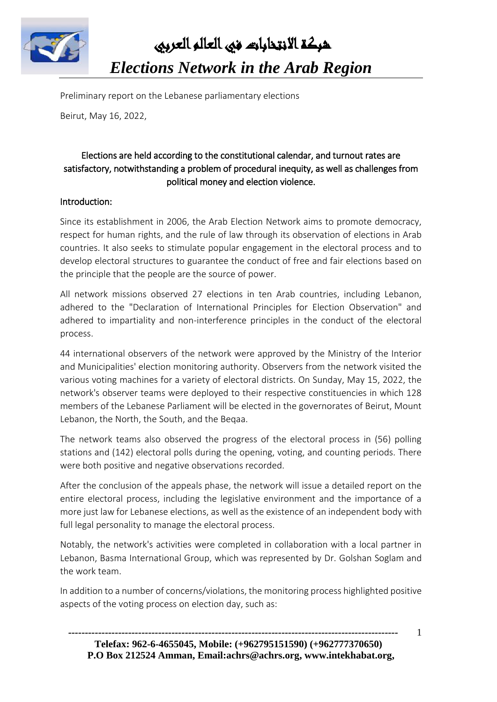

 شبكة االنتخابات في العالم العربي *Elections Network in the Arab Region* 

Preliminary report on the Lebanese parliamentary elections

Beirut, May 16, 2022,

## Elections are held according to the constitutional calendar, and turnout rates are satisfactory, notwithstanding a problem of procedural inequity, as well as challenges from political money and election violence.

#### Introduction:

Since its establishment in 2006, the Arab Election Network aims to promote democracy, respect for human rights, and the rule of law through its observation of elections in Arab countries. It also seeks to stimulate popular engagement in the electoral process and to develop electoral structures to guarantee the conduct of free and fair elections based on the principle that the people are the source of power.

All network missions observed 27 elections in ten Arab countries, including Lebanon, adhered to the "Declaration of International Principles for Election Observation" and adhered to impartiality and non-interference principles in the conduct of the electoral process.

44 international observers of the network were approved by the Ministry of the Interior and Municipalities' election monitoring authority. Observers from the network visited the various voting machines for a variety of electoral districts. On Sunday, May 15, 2022, the network's observer teams were deployed to their respective constituencies in which 128 members of the Lebanese Parliament will be elected in the governorates of Beirut, Mount Lebanon, the North, the South, and the Beqaa.

The network teams also observed the progress of the electoral process in (56) polling stations and (142) electoral polls during the opening, voting, and counting periods. There were both positive and negative observations recorded.

After the conclusion of the appeals phase, the network will issue a detailed report on the entire electoral process, including the legislative environment and the importance of a more just law for Lebanese elections, as well as the existence of an independent body with full legal personality to manage the electoral process.

Notably, the network's activities were completed in collaboration with a local partner in Lebanon, Basma International Group, which was represented by Dr. Golshan Soglam and the work team.

In addition to a number of concerns/violations, the monitoring process highlighted positive aspects of the voting process on election day, such as:

1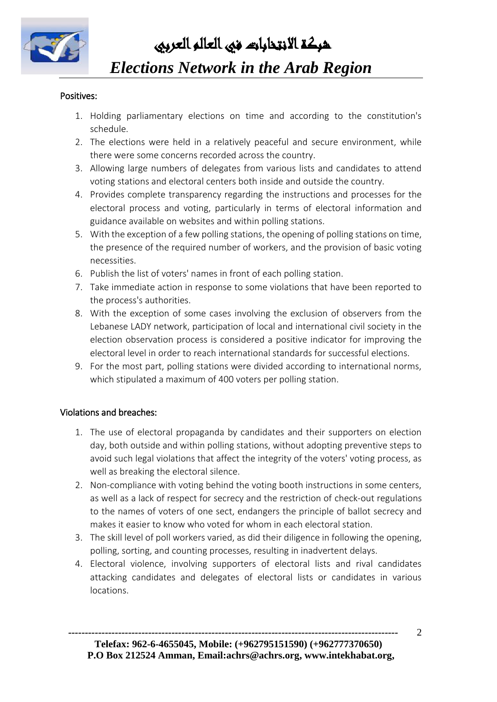

شبكة االنتخابات في العالم العربي

# *Elections Network in the Arab Region*

### Positives:

- 1. Holding parliamentary elections on time and according to the constitution's schedule.
- 2. The elections were held in a relatively peaceful and secure environment, while there were some concerns recorded across the country.
- 3. Allowing large numbers of delegates from various lists and candidates to attend voting stations and electoral centers both inside and outside the country.
- 4. Provides complete transparency regarding the instructions and processes for the electoral process and voting, particularly in terms of electoral information and guidance available on websites and within polling stations.
- 5. With the exception of a few polling stations, the opening of polling stations on time, the presence of the required number of workers, and the provision of basic voting necessities.
- 6. Publish the list of voters' names in front of each polling station.
- 7. Take immediate action in response to some violations that have been reported to the process's authorities.
- 8. With the exception of some cases involving the exclusion of observers from the Lebanese LADY network, participation of local and international civil society in the election observation process is considered a positive indicator for improving the electoral level in order to reach international standards for successful elections.
- 9. For the most part, polling stations were divided according to international norms, which stipulated a maximum of 400 voters per polling station.

### Violations and breaches:

- 1. The use of electoral propaganda by candidates and their supporters on election day, both outside and within polling stations, without adopting preventive steps to avoid such legal violations that affect the integrity of the voters' voting process, as well as breaking the electoral silence.
- 2. Non-compliance with voting behind the voting booth instructions in some centers, as well as a lack of respect for secrecy and the restriction of check-out regulations to the names of voters of one sect, endangers the principle of ballot secrecy and makes it easier to know who voted for whom in each electoral station.
- 3. The skill level of poll workers varied, as did their diligence in following the opening, polling, sorting, and counting processes, resulting in inadvertent delays.
- 4. Electoral violence, involving supporters of electoral lists and rival candidates attacking candidates and delegates of electoral lists or candidates in various locations.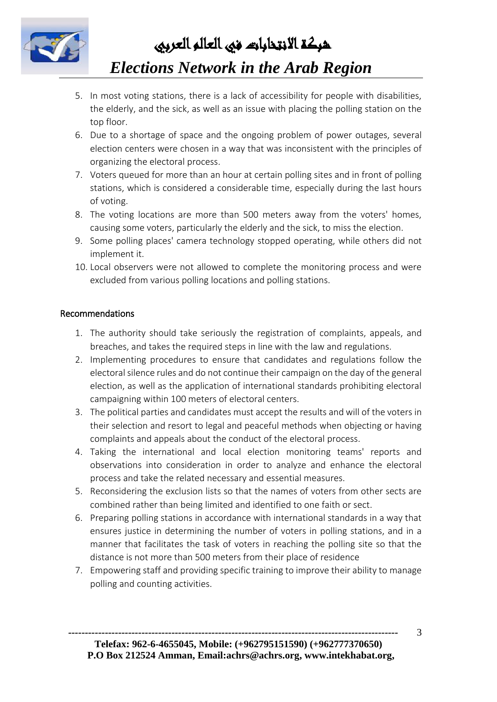

 شبكة االنتخابات في العالم العربي *Elections Network in the Arab Region* 

- 5. In most voting stations, there is a lack of accessibility for people with disabilities, the elderly, and the sick, as well as an issue with placing the polling station on the top floor.
- 6. Due to a shortage of space and the ongoing problem of power outages, several election centers were chosen in a way that was inconsistent with the principles of organizing the electoral process.
- 7. Voters queued for more than an hour at certain polling sites and in front of polling stations, which is considered a considerable time, especially during the last hours of voting.
- 8. The voting locations are more than 500 meters away from the voters' homes, causing some voters, particularly the elderly and the sick, to miss the election.
- 9. Some polling places' camera technology stopped operating, while others did not implement it.
- 10. Local observers were not allowed to complete the monitoring process and were excluded from various polling locations and polling stations.

### Recommendations

- 1. The authority should take seriously the registration of complaints, appeals, and breaches, and takes the required steps in line with the law and regulations.
- 2. Implementing procedures to ensure that candidates and regulations follow the electoral silence rules and do not continue their campaign on the day of the general election, as well as the application of international standards prohibiting electoral campaigning within 100 meters of electoral centers.
- 3. The political parties and candidates must accept the results and will of the voters in their selection and resort to legal and peaceful methods when objecting or having complaints and appeals about the conduct of the electoral process.
- 4. Taking the international and local election monitoring teams' reports and observations into consideration in order to analyze and enhance the electoral process and take the related necessary and essential measures.
- 5. Reconsidering the exclusion lists so that the names of voters from other sects are combined rather than being limited and identified to one faith or sect.
- 6. Preparing polling stations in accordance with international standards in a way that ensures justice in determining the number of voters in polling stations, and in a manner that facilitates the task of voters in reaching the polling site so that the distance is not more than 500 meters from their place of residence
- 7. Empowering staff and providing specific training to improve their ability to manage polling and counting activities.